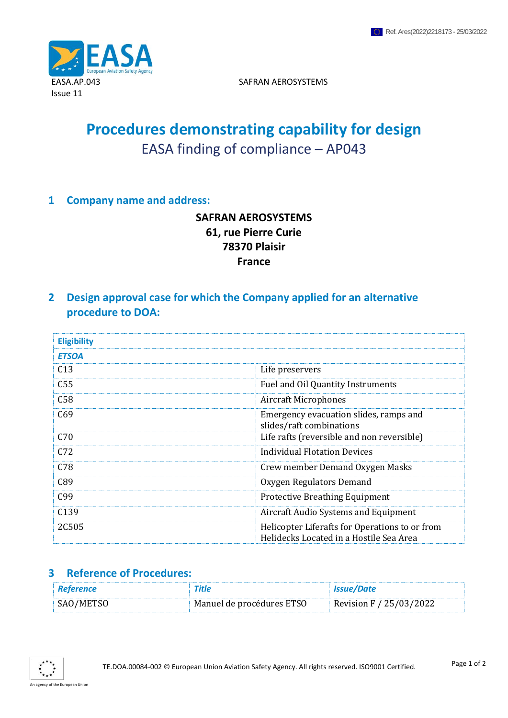

SAFRAN AEROSYSTEMS

# **Procedures demonstrating capability for design** EASA finding of compliance – AP043

#### **1 Company name and address:**

## **SAFRAN AEROSYSTEMS 61, rue Pierre Curie 78370 Plaisir France**

**2 Design approval case for which the Company applied for an alternative procedure to DOA:**

| <b>Eligibility</b> |                                                                                           |
|--------------------|-------------------------------------------------------------------------------------------|
| <b>ETSOA</b>       |                                                                                           |
| C13                | Life preservers                                                                           |
| C <sub>55</sub>    | Fuel and Oil Quantity Instruments                                                         |
| C58                | <b>Aircraft Microphones</b>                                                               |
| C69                | Emergency evacuation slides, ramps and<br>slides/raft combinations                        |
| C70                | Life rafts (reversible and non reversible)                                                |
| C72                | Individual Flotation Devices                                                              |
| C78                | Crew member Demand Oxygen Masks                                                           |
| C89                | Oxygen Regulators Demand                                                                  |
| C <sub>99</sub>    | <b>Protective Breathing Equipment</b>                                                     |
| C <sub>139</sub>   | Aircraft Audio Systems and Equipment                                                      |
| 2C505              | Helicopter Liferafts for Operations to or from<br>Helidecks Located in a Hostile Sea Area |

#### **3 Reference of Procedures:**

| Reference | Title                     | <b>Issue/Date</b>       |
|-----------|---------------------------|-------------------------|
| SAO/METSO | Manuel de procédures ETSO | Revision F / 25/03/2022 |